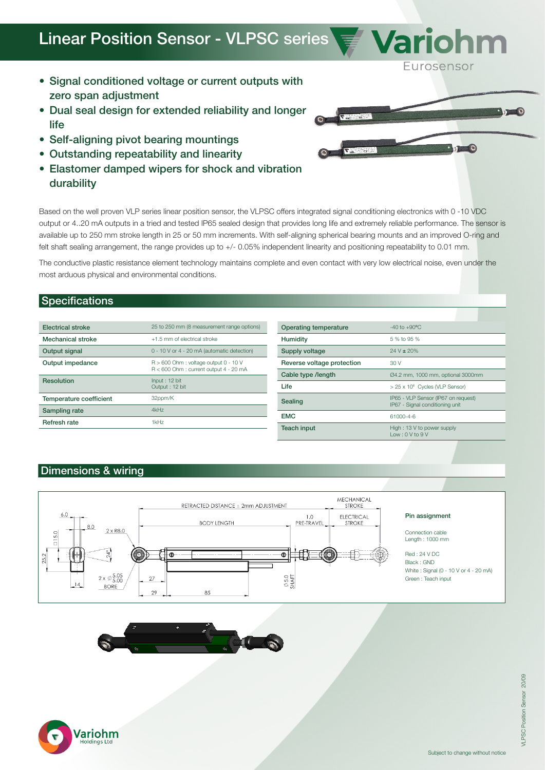## Linear Position Sensor - VLPSC series  $\sqrt{\sigma}$  Varionn

- Signal conditioned voltage or current outputs with zero span adjustment
- Dual seal design for extended reliability and longer life
- Self-aligning pivot bearing mountings
- Outstanding repeatability and linearity
- Elastomer damped wipers for shock and vibration durability

Based on the well proven VLP series linear position sensor, the VLPSC offers integrated signal conditioning electronics with 0 -10 VDC output or 4..20 mA outputs in a tried and tested IP65 sealed design that provides long life and extremely reliable performance. The sensor is available up to 250 mm stroke length in 25 or 50 mm increments. With self-aligning spherical bearing mounts and an improved O-ring and felt shaft sealing arrangement, the range provides up to +/- 0.05% independent linearity and positioning repeatability to 0.01 mm.

The conductive plastic resistance element technology maintains complete and even contact with very low electrical noise, even under the most arduous physical and environmental conditions.

## **Specifications**

| <b>Electrical stroke</b> | 25 to 250 mm (8 measurement range options)                                          |
|--------------------------|-------------------------------------------------------------------------------------|
| <b>Mechanical stroke</b> | +1.5 mm of electrical stroke                                                        |
| Output signal            | 0 - 10 V or 4 - 20 mA (automatic detection)                                         |
| Output impedance         | $R > 600$ Ohm : voltage output 0 - 10 V<br>$R < 600$ Ohm : current output 4 - 20 mA |
| Resolution               | Input: 12 bit<br>Output: 12 bit                                                     |
| Temperature coefficient  | 32ppm/K                                                                             |
| Sampling rate            | 4kHz                                                                                |
| Refresh rate             | 1kHz                                                                                |

| Operating temperature      | $-40$ to $+90^{\circ}$ C                                               |
|----------------------------|------------------------------------------------------------------------|
| <b>Humidity</b>            | 5 % to 95 %                                                            |
| Supply voltage             | $24 V \pm 20\%$                                                        |
| Reverse voltage protection | 30V                                                                    |
| Cable type /length         | Ø4.2 mm, 1000 mm, optional 3000mm                                      |
| I ife                      | > 25 x 10 <sup>6</sup> Cycles (VLP Sensor)                             |
| Sealing                    | IP65 - VLP Sensor (IP67 on request)<br>IP67 - Signal conditioning unit |
| <b>EMC</b>                 | 61000-4-6                                                              |
| Teach input                | High: 13 V to power supply<br>low: 0 V to 9 V                          |

## Dimensions & wiring









Eurosensor